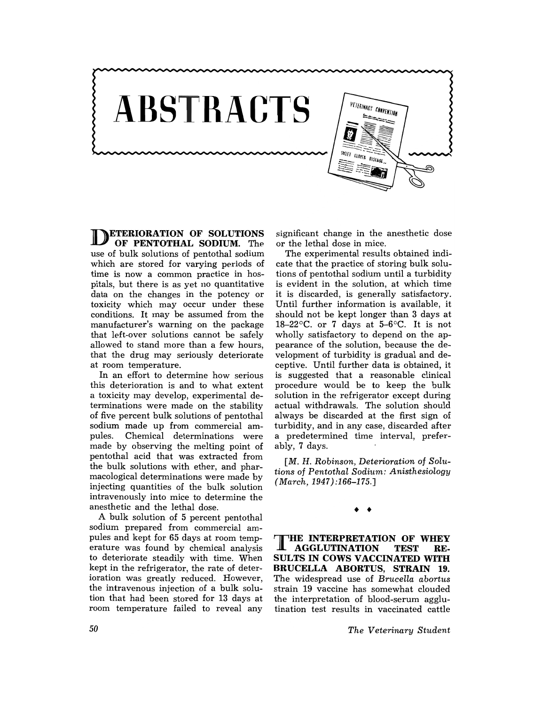

**NETERIORATION OF SOLUTIONS** OF PENTOTHAL SODIUM. The use of bulk solutions of pentothal sodium which are stored for varying periods of time is now a common practice in hospitals, but there is as yet no quantitative data on the changes in the potency or toxicity which may occur under these conditions. It may be assumed from the manufacturer's warning on the package that left-over solutions cannot be safely allowed to stand more than a few hours, that the drug may seriously deteriorate at room temperature.

In an effort to determine how serious this deterioration is and to what extent a toxicity may develop, experimental determinations were made on the stability of five percent bulk solutions of pentothal sodium made up from commercial ampules. Chemical determinations were made by observing the melting point of pentothal acid that was extracted from the bulk solutions with ether, and pharmacological determinations were made by injecting quantities of the bulk solution intravenously into mice to determine the anesthetic and the lethal dose.

A bulk solution of 5 percent pentothal sodium prepared from commercial ampules and kept for 65 days at room temperature was found by chemical analysis to deteriorate steadily with time. When kept in the refrigerator, the rate of deterioration was greatly reduced. However, the intravenous injection of a bulk solution that had been stored for 13 days at room temperature failed to reveal any

significant change in the anesthetic dose or the lethal dose in mice.

The experimental results obtained indicate that the practice of storing bulk solutions of pentothal sodium until a turbidity is evident in the solution, at which time it is discarded, is generally satisfactory. Until further information is available, it should not be kept longer than 3 days at 18-22 $\degree$ C. or 7 days at 5-6 $\degree$ C. It is not wholly satisfactory to depend on the appearance of the solution, because the development of turbidity is gradual and deceptive. Until further data is obtained, it is suggested that a reasonable clinical procedure would be to keep the bulk solution in the refrigerator except during actual withdrawals. The solution should always be discarded at the first sign of turbidity, and in any case, discarded after a predetermined time interval, preferably, 7 days.

*[M.* H. *Robinson, Deterioration* of *Solutions* of *Pentothal Sodium: Anisthesiology (March,* 1947):166-175.]

• •

THE INTERPRETATION OF WHEY<br>AGGLUTINATION TEST RE-**AGGLUTINATION** SULTS IN COWS VACCINATED WITH BRUCELLA ABORTUS, STRAIN 19. The widespread use of *Brucella abortus*  strain 19 vaccine has somewhat clouded the interpretation of blood-serum agglutination test results in vaccinated cattle

*The Veterinary Student*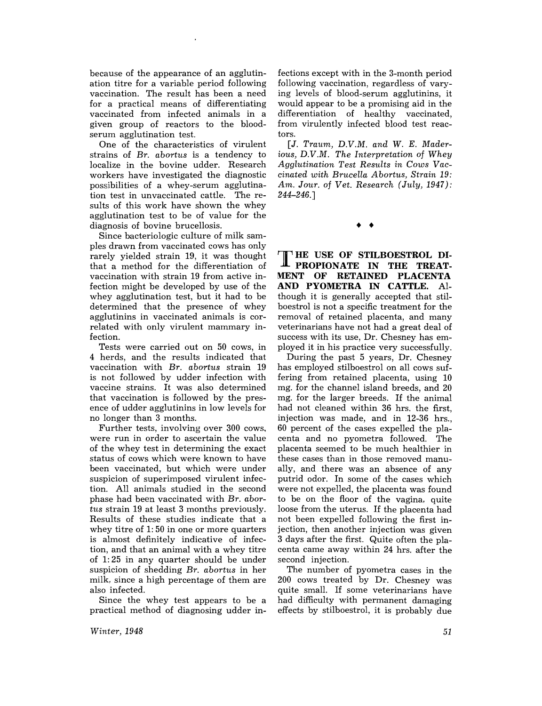because of the appearance of an agglutination titre for a variable period following vaccination. The result has been a need for a practical means of differentiating vaccinated from infected animals in a given group of reactors to the bloodserum agglutination test.

One of the characteristics of virulent strains of *Br. abortus* is a tendency to localize in the bovine udder. Research workers have investigated the diagnostic possibilities of a whey-serum agglutination test in unvaccinated cattle. The results of this work have shown the whey agglutination test to be of value for the diagnosis of bovine brucellosis.

Since bacteriologic culture of milk samples drawn from vaccinated cows has only rarely yielded strain 19, it was thought that a method for the differentiation of vaccination with strain 19 from active infection might be developed by use of the whey agglutination test, but it had to be determined that the presence of whey agglutinins in vaccinated animals is correlated with only virulent mammary infection.

Tests were carried out on 50 cows, in 4 herds, and the results indicated that vaccination with *Br. abortus* strain 19 is not followed by udder infection with vaccine strains. It was also determined that vaccination is followed by the presence of udder agglutinins in low levels for no longer than 3 months.

Further tests, involving over 300 cows, were run in order to ascertain the value of the whey test in determining the exact status of cows which were known to have been vaccinated, but which were under suspicion of superimposed virulent infection. All animals studied in the second phase had been vaccinated with *Br. abortus* strain 19 at least 3 months previously. Results of these studies indicate that a whey titre of 1: 50 in one or more quarters is almost definitely indicative of infection, and that an animal with a whey titre of 1: 25 in any quarter should be under suspicion of shedding *Br. abortus* in her milk, since a high percentage of them are also infected.

Since the whey test appears to be a practical method of diagnosing udder in-

fections except with in the 3-month period following vaccination, regardless of varying levels of blood-serum agglutinins, it would appear to be a promising aid in the differentiation of healthy vaccinated, from virulently infected blood test reactors.

*[J. Traum, D.V.M. and* W. *E. Maderious, D.V.M. The Interpretation* of *Whey Agglutination Test Results in Cows Vaccinated with Brucella Abortus, Strain 19: Am. Jour.* of *Vet. Research (July, 1947):*  244-246.]

• •

**T HE** USE **OF STILBOESTROL DI-PROPIONATE IN THE TREAT-MENT OF RETAINED PLACENTA AND PYOMETRA IN CATTLE.** Although it is generally accepted that stilboestrol is not a specific treatment for the removal of retained placenta, and many veterinarians have not had a great deal of success with its use, Dr. Chesney has employed it in his practice very successfully.

During the past 5 years, Dr. Chesney has employed stilboestrol on all cows suffering from retained placenta, using 10 mg. for the channel island breeds, and 20 mg. for the larger breeds. If the animal had not cleaned within 36 hrs. the first, injection was made, and in 12-36 hrs., 60 percent of the cases expelled the placenta and no pyometra followed. The placenta seemed to be much healthier in these cases than in those removed manually, and there was an absence of any putrid odor. In some of the cases which were not expelled, the placenta was found to be on the floor of the vagina, quite loose from the uterus. If the placenta had not been expelled following the first injection, then another injection was given 3 days after the first. Quite often the placenta came away within 24 hrs. after the second injection.

The number of pyometra cases in the 200 cows treated by Dr. Chesney was quite small. If some veterinarians have had difficulty with permanent damaging effects by stilboestrol, it is probably due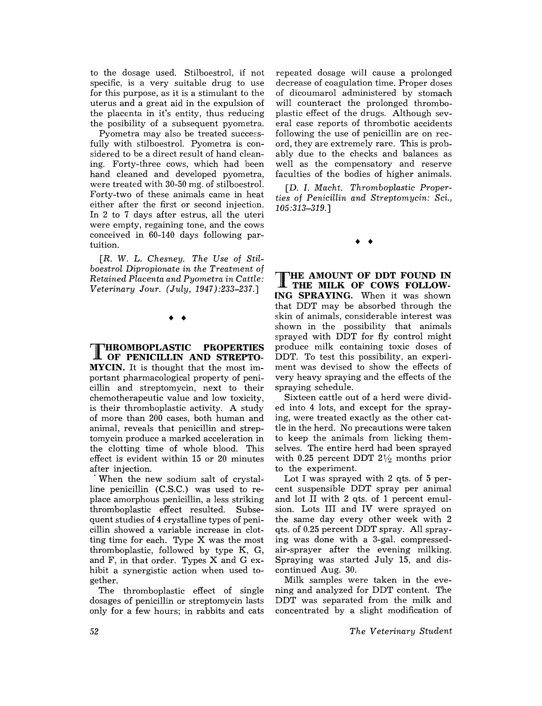to the dosage used. Stilboestrol, if not specific, is a very suitable drug to use for this purpose, as it is a stimulant to the uterus and a great aid in the expulsion of the placenta in it's entity, thus reducing the posibility of a subsequent pyometra.

Pyometra may also be treated successfully with stilboestrol. Pyometra is considered to be a direct result of hand cleaning. Forty-three cows, which had been hand cleaned and developed pyometra, were treated with 30-50 mg. of stilboestrol. Forty-two of these animals came in heat either after the first or second injection. In 2 to 7 days after estrus, all the uteri were empty, regaining tone, and the cows conceived in 60-140 days following partuition.

*[R.* W. L. *Chesney. The Use* of *Stilboestrol Dipropionate in the Treatment* of *Retained Placenta and Pyometra in Cattle: Veterinary Jour. (July,* 1947):233-237.J

## • •

THROMBOPLASTIC **PROPERTIES OF PENICILLIN AND STREPTO-MYCIN.** It is thought that the most important pharmacological property of penicillin and streptomycin, next to their chemotherapeutic value and low toxicity, is their thromboplastic activity. A study of more than 200 cases, both human and animal, reveals that penicillin and streptomycin produce a marked acceleration in the clotting time of whole blood. This effect is evident within 15 or 20 minutes after injection.

. When the new sodium salt of crystalline penicillin (C.S.C.) was used to replace amorphous penicillin, a less striking thromboplastic effect resulted. Subsequent studies of 4 crystalline types of penicillin showed a variable increase in clotting time for each. Type X was the most thromboplastic, followed by type K, G, and F, in that order. Types X and G exhibit a synergistic action when used together.

The thromboplastic effect of single dosages of penicillin or streptomycin lasts only for a few hours; in rabbits and cats

repeated dosage will cause a prolonged decrease of coagulation time. Proper doses of dicoumarol administered by stomach will counteract the prolonged thromboplastic effect of the drugs. Although several case reports of thrombotic accidents following the use of penicillin are on record, they are extremely rare. This is probably due to the checks and balances as well as the compensatory and reserve faculties of the bodies of higher animals.

[D. I. *Macht. Thromboplastic Properties* of *Penicillin and Streptomycin:* Sci., *105:313-319.]* 

• •

THE **AMOUNT OF DDT FOUND IN THE MILK OF COWS FOLLOW- [NG SPRAYING.** When it was shown that DDT may be absorbed through the skin of animals, considerable interest was shown in the possibility that animals sprayed with DDT for fly control might produce milk containing toxic doses of DDT. To test this possibility, an experiment was devised to show the effects of very heavy spraying and the effects of the spraying schedule.

Sixteen cattle out of a herd were divided into 4 lots, and except for the spraying, were treated exactly as the other cattle in the herd. No precautions were taken to keep the animals from licking themselves. The entire herd had been sprayed with 0.25 percent DDT  $2\frac{1}{2}$  months prior to the experiment.

Lot I was sprayed with 2 qts. of 5 percent suspensible DDT spray per animal and lot II with 2 qts. of 1 percent emulsion. Lots III and IV were sprayed on the same day every other week with 2 qts. of 0.25 percent DDT spray. All spraying was done with a 3-gal. compressedair-sprayer after the evening milking. Spraying was started July 15, and discontinued Aug. 30.

Milk samples were taken in the evening and analyzed for DDT content. The DDT was separated from the milk and concentrated by a slight modification of

*The Veterinary Student*